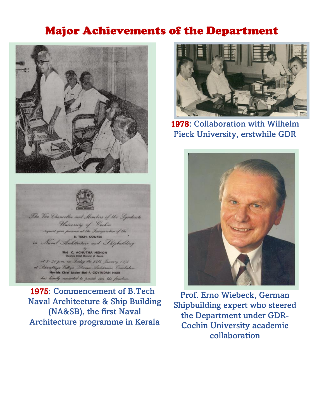## Major Achievements of the Department





1975: Commencement of B.Tech Naval Architecture & Ship Building (NA&SB), the first Naval Architecture programme in Kerala



1978: Collaboration with Wilhelm Pieck University, erstwhile GDR



Prof. Erno Wiebeck, German Shipbuilding expert who steered the Department under GDR-Cochin University academic collaboration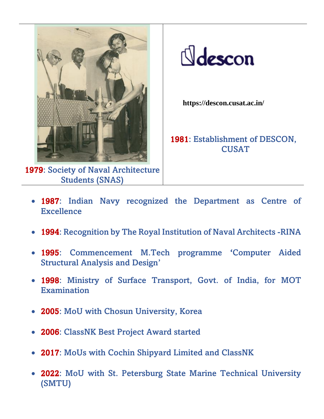

1979: Society of Naval Architecture Students (SNAS)

 $\mathbb N$ descon

**https://descon.cusat.ac.in/**

1981: Establishment of DESCON, CUSAT

- 1987: Indian Navy recognized the Department as Centre of Excellence
- 1994: Recognition by The Royal Institution of Naval Architects -RINA
- 1995: Commencement M.Tech programme 'Computer Aided Structural Analysis and Design'
- 1998: Ministry of Surface Transport, Govt. of India, for MOT **Examination**
- 2005: MoU with Chosun University, Korea
- 2006: ClassNK Best Project Award started
- 2017: MoUs with Cochin Shipyard Limited and ClassNK
- 2022: MoU with St. Petersburg State Marine Technical University (SMTU)